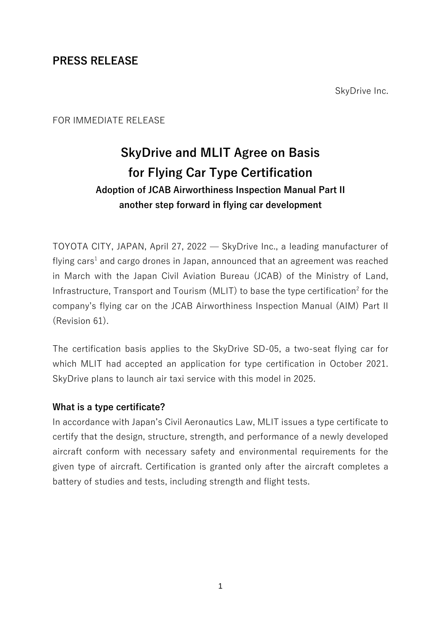# **PRESS RELEASE**

SkyDrive Inc.

## FOR IMMEDIATE RELEASE

# **SkyDrive and MLIT Agree on Basis for Flying Car Type Certification Adoption of JCAB Airworthiness Inspection Manual Part II another step forward in flying car development**

TOYOTA CITY, JAPAN, April 27, 2022 — SkyDrive Inc., a leading manufacturer of flying cars<sup>1</sup> and cargo drones in Japan, announced that an agreement was reached in March with the Japan Civil Aviation Bureau (JCAB) of the Ministry of Land, Infrastructure, Transport and Tourism (MLIT) to base the type certification<sup>2</sup> for the company's flying car on the JCAB Airworthiness Inspection Manual (AIM) Part II (Revision 61).

The certification basis applies to the SkyDrive SD-05, a two-seat flying car for which MLIT had accepted an application for type certification in October 2021. SkyDrive plans to launch air taxi service with this model in 2025.

#### **What is a type certificate?**

In accordance with Japan's Civil Aeronautics Law, MLIT issues a type certificate to certify that the design, structure, strength, and performance of a newly developed aircraft conform with necessary safety and environmental requirements for the given type of aircraft. Certification is granted only after the aircraft completes a battery of studies and tests, including strength and flight tests.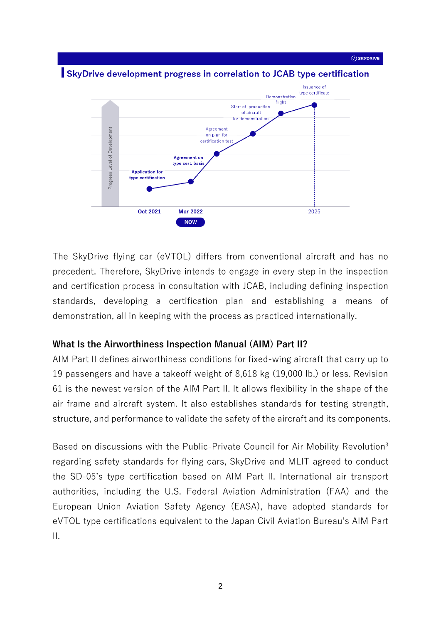SkyDrive development progress in correlation to JCAB type certification



The SkyDrive flying car (eVTOL) differs from conventional aircraft and has no precedent. Therefore, SkyDrive intends to engage in every step in the inspection and certification process in consultation with JCAB, including defining inspection standards, developing a certification plan and establishing a means of demonstration, all in keeping with the process as practiced internationally.

#### **What Is the Airworthiness Inspection Manual (AIM) Part II?**

AIM Part II defines airworthiness conditions for fixed-wing aircraft that carry up to 19 passengers and have a takeoff weight of 8,618 kg (19,000 lb.) or less. Revision 61 is the newest version of the AIM Part II. It allows flexibility in the shape of the air frame and aircraft system. It also establishes standards for testing strength, structure, and performance to validate the safety of the aircraft and its components.

Based on discussions with the Public-Private Council for Air Mobility Revolution<sup>3</sup> regarding safety standards for flying cars, SkyDrive and MLIT agreed to conduct the SD-05's type certification based on AIM Part II. International air transport authorities, including the U.S. Federal Aviation Administration (FAA) and the European Union Aviation Safety Agency (EASA), have adopted standards for eVTOL type certifications equivalent to the Japan Civil Aviation Bureau's AIM Part II.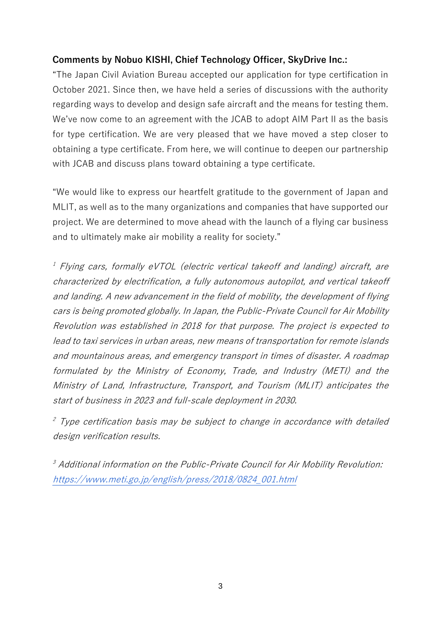# **Comments by Nobuo KISHI, Chief Technology Officer, SkyDrive Inc.:**

"The Japan Civil Aviation Bureau accepted our application for type certification in October 2021. Since then, we have held a series of discussions with the authority regarding ways to develop and design safe aircraft and the means for testing them. We've now come to an agreement with the JCAB to adopt AIM Part II as the basis for type certification. We are very pleased that we have moved a step closer to obtaining a type certificate. From here, we will continue to deepen our partnership with JCAB and discuss plans toward obtaining a type certificate.

"We would like to express our heartfelt gratitude to the government of Japan and MLIT, as well as to the many organizations and companies that have supported our project. We are determined to move ahead with the launch of a flying car business and to ultimately make air mobility a reality for society."

 $^{\text{\tiny{\it{I}}}}$  Flying cars, formally eVTOL (electric vertical takeoff and landing) aircraft, are characterized by electrification, a fully autonomous autopilot, and vertical takeoff and landing. A new advancement in the field of mobility, the development of flying cars is being promoted globally. In Japan, the Public-Private Council for Air Mobility Revolution was established in 2018 for that purpose. The project is expected to lead to taxi services in urban areas, new means of transportation for remote islands and mountainous areas, and emergency transport in times of disaster. A roadmap formulated by the Ministry of Economy, Trade, and Industry (METI) and the Ministry of Land, Infrastructure, Transport, and Tourism (MLIT) anticipates the start of business in 2023 and full-scale deployment in 2030.

 $^2$  Type certification basis may be subject to change in accordance with detailed design verification results.

 $\,$   $^3$  Additional information on the Public-Private Council for Air Mobility Revolution: [https://www.meti.go.jp/english/press/2018/0824\\_001.html](https://www.meti.go.jp/english/press/2018/0824_001.html)